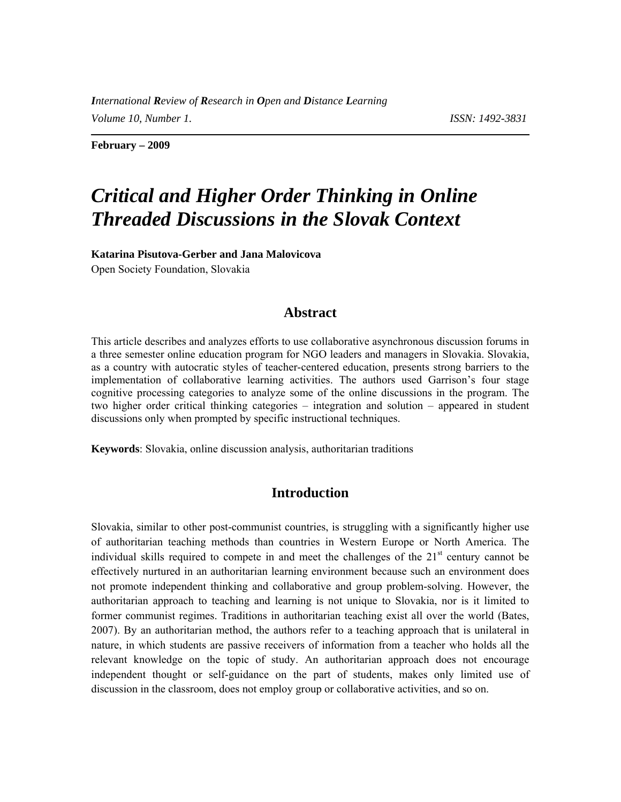**February – 2009** 

# *Critical and Higher Order Thinking in Online Threaded Discussions in the Slovak Context*

**Katarina Pisutova-Gerber and Jana Malovicova** 

Open Society Foundation, Slovakia

# **Abstract**

This article describes and analyzes efforts to use collaborative asynchronous discussion forums in a three semester online education program for NGO leaders and managers in Slovakia. Slovakia, as a country with autocratic styles of teacher-centered education, presents strong barriers to the implementation of collaborative learning activities. The authors used Garrison's four stage cognitive processing categories to analyze some of the online discussions in the program. The two higher order critical thinking categories – integration and solution – appeared in student discussions only when prompted by specific instructional techniques.

**Keywords**: Slovakia, online discussion analysis, authoritarian traditions

# **Introduction**

Slovakia, similar to other post-communist countries, is struggling with a significantly higher use of authoritarian teaching methods than countries in Western Europe or North America. The individual skills required to compete in and meet the challenges of the  $21<sup>st</sup>$  century cannot be effectively nurtured in an authoritarian learning environment because such an environment does not promote independent thinking and collaborative and group problem-solving. However, the authoritarian approach to teaching and learning is not unique to Slovakia, nor is it limited to former communist regimes. Traditions in authoritarian teaching exist all over the world (Bates, 2007). By an authoritarian method, the authors refer to a teaching approach that is unilateral in nature, in which students are passive receivers of information from a teacher who holds all the relevant knowledge on the topic of study. An authoritarian approach does not encourage independent thought or self-guidance on the part of students, makes only limited use of discussion in the classroom, does not employ group or collaborative activities, and so on.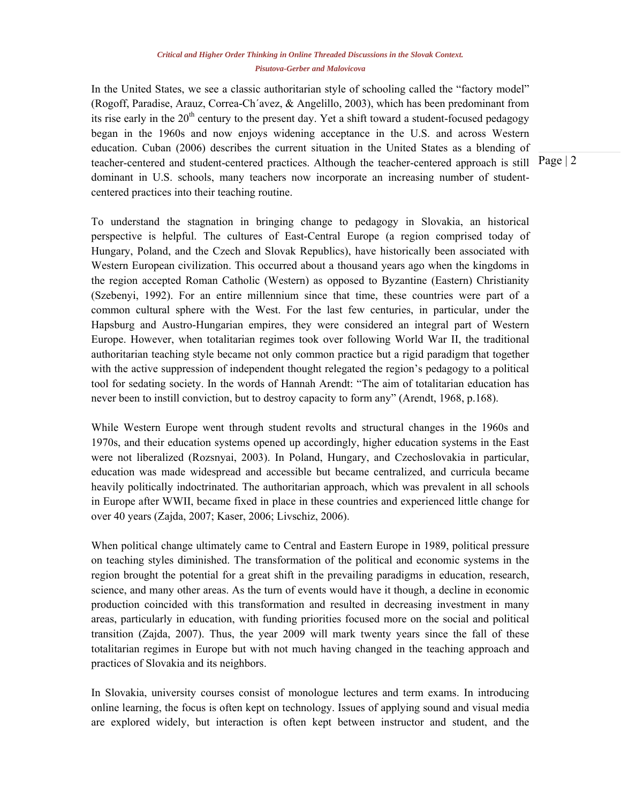teacher-centered and student-centered practices. Although the teacher-centered approach is still Page  $\vert$  2 In the United States, we see a classic authoritarian style of schooling called the "factory model" (Rogoff, Paradise, Arauz, Correa-Ch´avez, & Angelillo, 2003), which has been predominant from its rise early in the 20<sup>th</sup> century to the present day. Yet a shift toward a student-focused pedagogy began in the 1960s and now enjoys widening acceptance in the U.S. and across Western education. Cuban (2006) describes the current situation in the United States as a blending of dominant in U.S. schools, many teachers now incorporate an increasing number of studentcentered practices into their teaching routine.

To understand the stagnation in bringing change to pedagogy in Slovakia, an historical perspective is helpful. The cultures of East-Central Europe (a region comprised today of Hungary, Poland, and the Czech and Slovak Republics), have historically been associated with Western European civilization. This occurred about a thousand years ago when the kingdoms in the region accepted Roman Catholic (Western) as opposed to Byzantine (Eastern) Christianity (Szebenyi, 1992). For an entire millennium since that time, these countries were part of a common cultural sphere with the West. For the last few centuries, in particular, under the Hapsburg and Austro-Hungarian empires, they were considered an integral part of Western Europe. However, when totalitarian regimes took over following World War II, the traditional authoritarian teaching style became not only common practice but a rigid paradigm that together with the active suppression of independent thought relegated the region's pedagogy to a political tool for sedating society. In the words of Hannah Arendt: "The aim of totalitarian education has never been to instill conviction, but to destroy capacity to form any" (Arendt, 1968, p.168).

While Western Europe went through student revolts and structural changes in the 1960s and 1970s, and their education systems opened up accordingly, higher education systems in the East were not liberalized (Rozsnyai, 2003). In Poland, Hungary, and Czechoslovakia in particular, education was made widespread and accessible but became centralized, and curricula became heavily politically indoctrinated. The authoritarian approach, which was prevalent in all schools in Europe after WWII, became fixed in place in these countries and experienced little change for over 40 years (Zajda, 2007; Kaser, 2006; Livschiz, 2006).

When political change ultimately came to Central and Eastern Europe in 1989, political pressure on teaching styles diminished. The transformation of the political and economic systems in the region brought the potential for a great shift in the prevailing paradigms in education, research, science, and many other areas. As the turn of events would have it though, a decline in economic production coincided with this transformation and resulted in decreasing investment in many areas, particularly in education, with funding priorities focused more on the social and political transition (Zajda, 2007). Thus, the year 2009 will mark twenty years since the fall of these totalitarian regimes in Europe but with not much having changed in the teaching approach and practices of Slovakia and its neighbors.

In Slovakia, university courses consist of monologue lectures and term exams. In introducing online learning, the focus is often kept on technology. Issues of applying sound and visual media are explored widely, but interaction is often kept between instructor and student, and the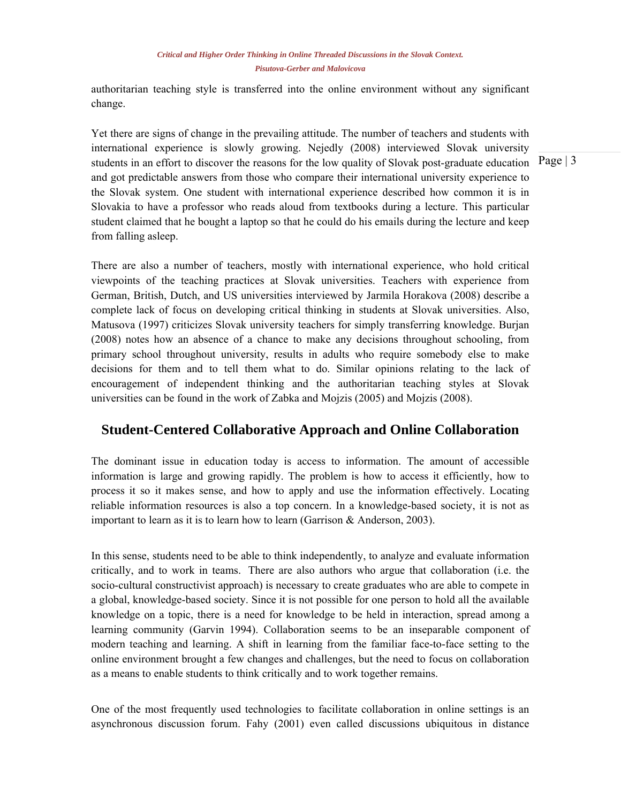authoritarian teaching style is transferred into the online environment without any significant change.

students in an effort to discover the reasons for the low quality of Slovak post-graduate education  $\text{Page} \mid 3$ Yet there are signs of change in the prevailing attitude. The number of teachers and students with international experience is slowly growing. Nejedly (2008) interviewed Slovak university and got predictable answers from those who compare their international university experience to the Slovak system. One student with international experience described how common it is in Slovakia to have a professor who reads aloud from textbooks during a lecture. This particular student claimed that he bought a laptop so that he could do his emails during the lecture and keep from falling asleep.

There are also a number of teachers, mostly with international experience, who hold critical viewpoints of the teaching practices at Slovak universities. Teachers with experience from German, British, Dutch, and US universities interviewed by Jarmila Horakova (2008) describe a complete lack of focus on developing critical thinking in students at Slovak universities. Also, Matusova (1997) criticizes Slovak university teachers for simply transferring knowledge. Burjan (2008) notes how an absence of a chance to make any decisions throughout schooling, from primary school throughout university, results in adults who require somebody else to make decisions for them and to tell them what to do. Similar opinions relating to the lack of encouragement of independent thinking and the authoritarian teaching styles at Slovak universities can be found in the work of Zabka and Mojzis (2005) and Mojzis (2008).

# **Student-Centered Collaborative Approach and Online Collaboration**

The dominant issue in education today is access to information. The amount of accessible information is large and growing rapidly. The problem is how to access it efficiently, how to process it so it makes sense, and how to apply and use the information effectively. Locating reliable information resources is also a top concern. In a knowledge-based society, it is not as important to learn as it is to learn how to learn (Garrison  $\&$  Anderson, 2003).

In this sense, students need to be able to think independently, to analyze and evaluate information critically, and to work in teams. There are also authors who argue that collaboration (i.e. the socio-cultural constructivist approach) is necessary to create graduates who are able to compete in a global, knowledge-based society. Since it is not possible for one person to hold all the available knowledge on a topic, there is a need for knowledge to be held in interaction, spread among a learning community (Garvin 1994). Collaboration seems to be an inseparable component of modern teaching and learning. A shift in learning from the familiar face-to-face setting to the online environment brought a few changes and challenges, but the need to focus on collaboration as a means to enable students to think critically and to work together remains.

One of the most frequently used technologies to facilitate collaboration in online settings is an asynchronous discussion forum. Fahy (2001) even called discussions ubiquitous in distance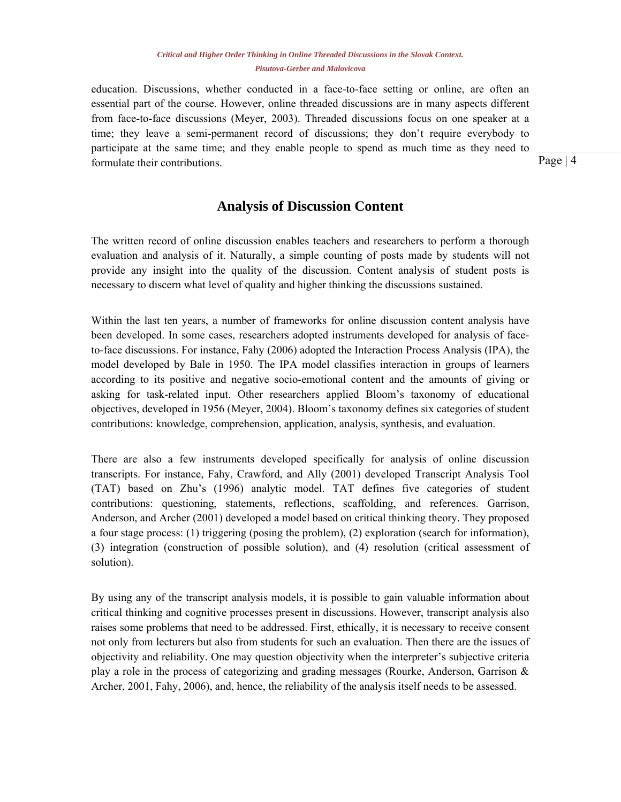education. Discussions, whether conducted in a face-to-face setting or online, are often an essential part of the course. However, online threaded discussions are in many aspects different from face-to-face discussions (Meyer, 2003). Threaded discussions focus on one speaker at a time; they leave a semi-permanent record of discussions; they don't require everybody to participate at the same time; and they enable people to spend as much time as they need to formulate their contributions.

Page | 4

### **Analysis of Discussion Content**

The written record of online discussion enables teachers and researchers to perform a thorough evaluation and analysis of it. Naturally, a simple counting of posts made by students will not provide any insight into the quality of the discussion. Content analysis of student posts is necessary to discern what level of quality and higher thinking the discussions sustained.

Within the last ten years, a number of frameworks for online discussion content analysis have been developed. In some cases, researchers adopted instruments developed for analysis of faceto-face discussions. For instance, Fahy (2006) adopted the Interaction Process Analysis (IPA), the model developed by Bale in 1950. The IPA model classifies interaction in groups of learners according to its positive and negative socio-emotional content and the amounts of giving or asking for task-related input. Other researchers applied Bloom's taxonomy of educational objectives, developed in 1956 (Meyer, 2004). Bloom's taxonomy defines six categories of student contributions: knowledge, comprehension, application, analysis, synthesis, and evaluation.

There are also a few instruments developed specifically for analysis of online discussion transcripts. For instance, Fahy, Crawford, and Ally (2001) developed Transcript Analysis Tool (TAT) based on Zhu's (1996) analytic model. TAT defines five categories of student contributions: questioning, statements, reflections, scaffolding, and references. Garrison, Anderson, and Archer (2001) developed a model based on critical thinking theory. They proposed a four stage process: (1) triggering (posing the problem), (2) exploration (search for information), (3) integration (construction of possible solution), and (4) resolution (critical assessment of solution).

By using any of the transcript analysis models, it is possible to gain valuable information about critical thinking and cognitive processes present in discussions. However, transcript analysis also raises some problems that need to be addressed. First, ethically, it is necessary to receive consent not only from lecturers but also from students for such an evaluation. Then there are the issues of objectivity and reliability. One may question objectivity when the interpreter's subjective criteria play a role in the process of categorizing and grading messages (Rourke, Anderson, Garrison & Archer, 2001, Fahy, 2006), and, hence, the reliability of the analysis itself needs to be assessed.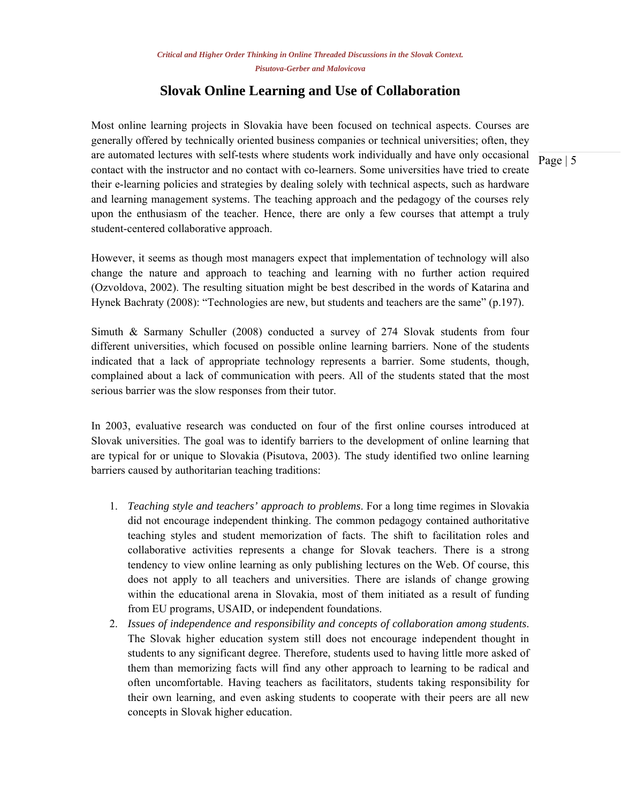# **Slovak Online Learning and Use of Collaboration**

Most online learning projects in Slovakia have been focused on technical aspects. Courses are generally offered by technically oriented business companies or technical universities; often, they are automated lectures with self-tests where students work individually and have only occasional contact with the instructor and no contact with co-learners. Some universities have tried to create their e-learning policies and strategies by dealing solely with technical aspects, such as hardware and learning management systems. The teaching approach and the pedagogy of the courses rely upon the enthusiasm of the teacher. Hence, there are only a few courses that attempt a truly student-centered collaborative approach.

However, it seems as though most managers expect that implementation of technology will also change the nature and approach to teaching and learning with no further action required (Ozvoldova, 2002). The resulting situation might be best described in the words of Katarina and Hynek Bachraty (2008): "Technologies are new, but students and teachers are the same" (p.197).

Simuth & Sarmany Schuller (2008) conducted a survey of 274 Slovak students from four different universities, which focused on possible online learning barriers. None of the students indicated that a lack of appropriate technology represents a barrier. Some students, though, complained about a lack of communication with peers. All of the students stated that the most serious barrier was the slow responses from their tutor.

In 2003, evaluative research was conducted on four of the first online courses introduced at Slovak universities. The goal was to identify barriers to the development of online learning that are typical for or unique to Slovakia (Pisutova, 2003). The study identified two online learning barriers caused by authoritarian teaching traditions:

- 1. *Teaching style and teachers' approach to problems*. For a long time regimes in Slovakia did not encourage independent thinking. The common pedagogy contained authoritative teaching styles and student memorization of facts. The shift to facilitation roles and collaborative activities represents a change for Slovak teachers. There is a strong tendency to view online learning as only publishing lectures on the Web. Of course, this does not apply to all teachers and universities. There are islands of change growing within the educational arena in Slovakia, most of them initiated as a result of funding from EU programs, USAID, or independent foundations.
- 2. *Issues of independence and responsibility and concepts of collaboration among students*. The Slovak higher education system still does not encourage independent thought in students to any significant degree. Therefore, students used to having little more asked of them than memorizing facts will find any other approach to learning to be radical and often uncomfortable. Having teachers as facilitators, students taking responsibility for their own learning, and even asking students to cooperate with their peers are all new concepts in Slovak higher education.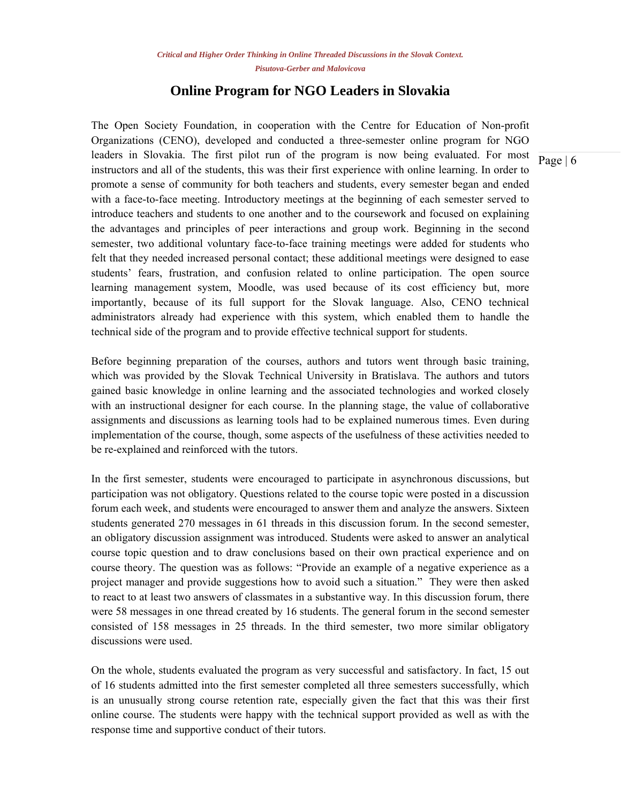# **Online Program for NGO Leaders in Slovakia**

The Open Society Foundation, in cooperation with the Centre for Education of Non-profit Organizations (CENO), developed and conducted a three-semester online program for NGO leaders in Slovakia. The first pilot run of the program is now being evaluated. For most instructors and all of the students, this was their first experience with online learning. In order to promote a sense of community for both teachers and students, every semester began and ended with a face-to-face meeting. Introductory meetings at the beginning of each semester served to introduce teachers and students to one another and to the coursework and focused on explaining the advantages and principles of peer interactions and group work. Beginning in the second semester, two additional voluntary face-to-face training meetings were added for students who felt that they needed increased personal contact; these additional meetings were designed to ease students' fears, frustration, and confusion related to online participation. The open source learning management system, Moodle, was used because of its cost efficiency but, more importantly, because of its full support for the Slovak language. Also, CENO technical administrators already had experience with this system, which enabled them to handle the technical side of the program and to provide effective technical support for students.

Before beginning preparation of the courses, authors and tutors went through basic training, which was provided by the Slovak Technical University in Bratislava. The authors and tutors gained basic knowledge in online learning and the associated technologies and worked closely with an instructional designer for each course. In the planning stage, the value of collaborative assignments and discussions as learning tools had to be explained numerous times. Even during implementation of the course, though, some aspects of the usefulness of these activities needed to be re-explained and reinforced with the tutors.

In the first semester, students were encouraged to participate in asynchronous discussions, but participation was not obligatory. Questions related to the course topic were posted in a discussion forum each week, and students were encouraged to answer them and analyze the answers. Sixteen students generated 270 messages in 61 threads in this discussion forum. In the second semester, an obligatory discussion assignment was introduced. Students were asked to answer an analytical course topic question and to draw conclusions based on their own practical experience and on course theory. The question was as follows: "Provide an example of a negative experience as a project manager and provide suggestions how to avoid such a situation." They were then asked to react to at least two answers of classmates in a substantive way. In this discussion forum, there were 58 messages in one thread created by 16 students. The general forum in the second semester consisted of 158 messages in 25 threads. In the third semester, two more similar obligatory discussions were used.

On the whole, students evaluated the program as very successful and satisfactory. In fact, 15 out of 16 students admitted into the first semester completed all three semesters successfully, which is an unusually strong course retention rate, especially given the fact that this was their first online course. The students were happy with the technical support provided as well as with the response time and supportive conduct of their tutors.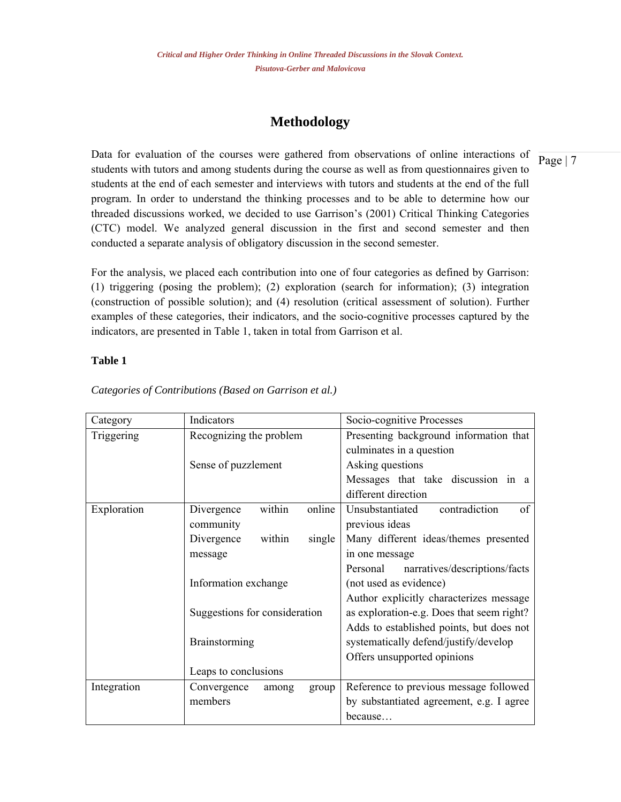# **Methodology**

Page | 7 Data for evaluation of the courses were gathered from observations of online interactions of students with tutors and among students during the course as well as from questionnaires given to students at the end of each semester and interviews with tutors and students at the end of the full program. In order to understand the thinking processes and to be able to determine how our threaded discussions worked, we decided to use Garrison's (2001) Critical Thinking Categories (CTC) model. We analyzed general discussion in the first and second semester and then conducted a separate analysis of obligatory discussion in the second semester.

For the analysis, we placed each contribution into one of four categories as defined by Garrison: (1) triggering (posing the problem); (2) exploration (search for information); (3) integration (construction of possible solution); and (4) resolution (critical assessment of solution). Further examples of these categories, their indicators, and the socio-cognitive processes captured by the indicators, are presented in Table 1, taken in total from Garrison et al.

### **Table 1**

| Category    | Indicators                     | Socio-cognitive Processes                 |  |
|-------------|--------------------------------|-------------------------------------------|--|
| Triggering  | Recognizing the problem        | Presenting background information that    |  |
|             |                                | culminates in a question                  |  |
|             | Sense of puzzlement            | Asking questions                          |  |
|             |                                | Messages that take discussion in a        |  |
|             |                                | different direction                       |  |
| Exploration | within<br>online<br>Divergence | contradiction<br>Unsubstantiated<br>of    |  |
|             | community                      | previous ideas                            |  |
|             | Divergence<br>within<br>single | Many different ideas/themes presented     |  |
|             | message                        | in one message                            |  |
|             |                                | narratives/descriptions/facts<br>Personal |  |
|             | Information exchange           | (not used as evidence)                    |  |
|             |                                | Author explicitly characterizes message   |  |
|             | Suggestions for consideration  | as exploration-e.g. Does that seem right? |  |
|             |                                | Adds to established points, but does not  |  |
|             | Brainstorming                  | systematically defend/justify/develop     |  |
|             |                                | Offers unsupported opinions               |  |
|             | Leaps to conclusions           |                                           |  |
| Integration | Convergence<br>group<br>among  | Reference to previous message followed    |  |
|             | members                        | by substantiated agreement, e.g. I agree  |  |
|             |                                | because                                   |  |

*Categories of Contributions (Based on Garrison et al.)*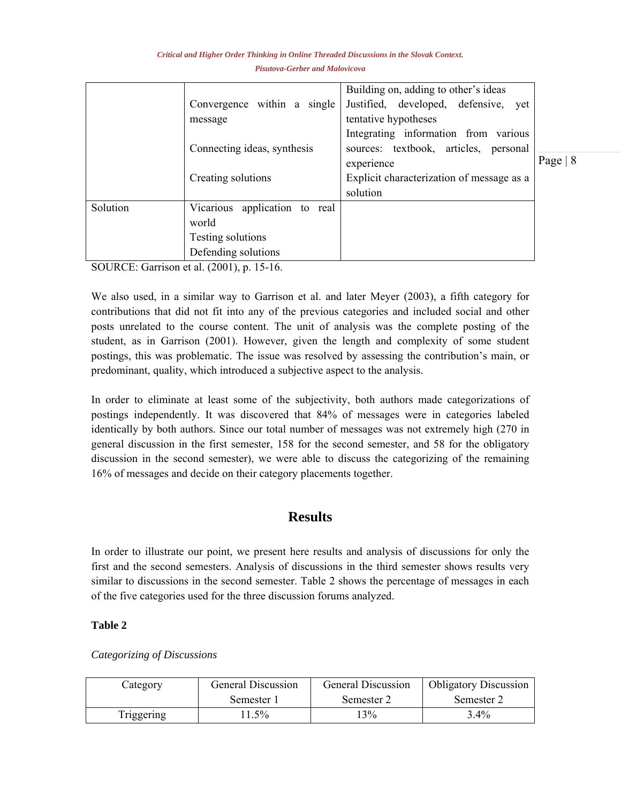| Critical and Higher Order Thinking in Online Threaded Discussions in the Slovak Context. |                                       |  |
|------------------------------------------------------------------------------------------|---------------------------------------|--|
|                                                                                          | <b>Pisutova-Gerber and Malovicova</b> |  |

|          | Convergence within a single<br>message<br>Connecting ideas, synthesis<br>Creating solutions | Building on, adding to other's ideas<br>Justified, developed, defensive, yet<br>tentative hypotheses<br>Integrating information from<br>various<br>sources: textbook, articles, personal<br>Page<br>experience<br>Explicit characterization of message as a |  |
|----------|---------------------------------------------------------------------------------------------|-------------------------------------------------------------------------------------------------------------------------------------------------------------------------------------------------------------------------------------------------------------|--|
| Solution | application to real<br>Vicarious<br>world<br>Testing solutions<br>Defending solutions       | solution                                                                                                                                                                                                                                                    |  |

SOURCE: Garrison et al. (2001), p. 15-16.

We also used, in a similar way to Garrison et al. and later Meyer (2003), a fifth category for contributions that did not fit into any of the previous categories and included social and other posts unrelated to the course content. The unit of analysis was the complete posting of the student, as in Garrison (2001). However, given the length and complexity of some student postings, this was problematic. The issue was resolved by assessing the contribution's main, or predominant, quality, which introduced a subjective aspect to the analysis.

In order to eliminate at least some of the subjectivity, both authors made categorizations of postings independently. It was discovered that 84% of messages were in categories labeled identically by both authors. Since our total number of messages was not extremely high (270 in general discussion in the first semester, 158 for the second semester, and 58 for the obligatory discussion in the second semester), we were able to discuss the categorizing of the remaining 16% of messages and decide on their category placements together.

# **Results**

In order to illustrate our point, we present here results and analysis of discussions for only the first and the second semesters. Analysis of discussions in the third semester shows results very similar to discussions in the second semester. Table 2 shows the percentage of messages in each of the five categories used for the three discussion forums analyzed.

#### **Table 2**

*Categorizing of Discussions* 

| Category   | <b>General Discussion</b> | <b>General Discussion</b> | <b>Obligatory Discussion</b> |
|------------|---------------------------|---------------------------|------------------------------|
|            | Semester 1                | Semester 2                | Semester 2                   |
| Triggering | $.5\%$                    | $3\%$                     | $3.4\%$                      |

 $8$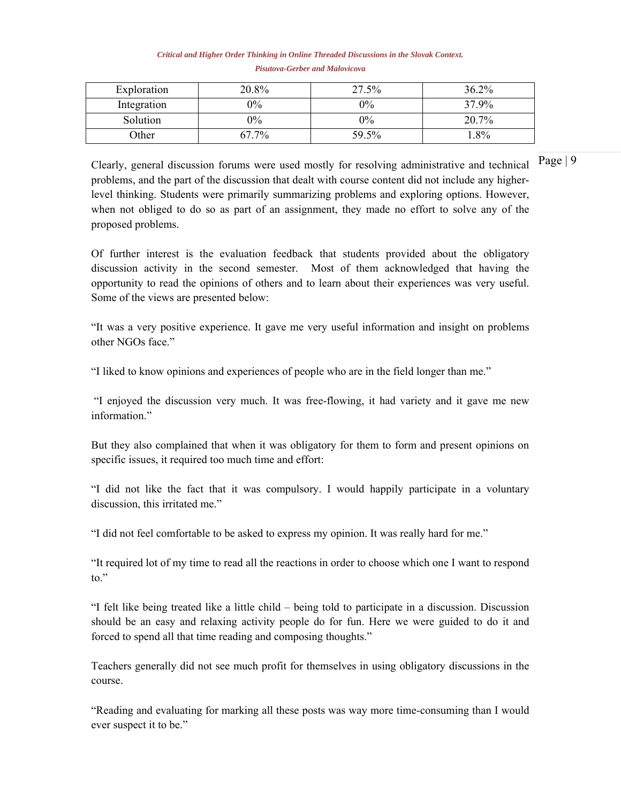| Exploration | 20.8% | 27.5% | 36.2%  |
|-------------|-------|-------|--------|
| Integration | $0\%$ | $0\%$ | 37.9%  |
| Solution    | $0\%$ | $0\%$ | 20.7%  |
| Other       | 67.7% | 59.5% | $.8\%$ |

Page | 9

Clearly, general discussion forums were used mostly for resolving administrative and technical problems, and the part of the discussion that dealt with course content did not include any higherlevel thinking. Students were primarily summarizing problems and exploring options. However, when not obliged to do so as part of an assignment, they made no effort to solve any of the proposed problems.

Of further interest is the evaluation feedback that students provided about the obligatory discussion activity in the second semester. Most of them acknowledged that having the opportunity to read the opinions of others and to learn about their experiences was very useful. Some of the views are presented below:

"It was a very positive experience. It gave me very useful information and insight on problems other NGOs face."

"I liked to know opinions and experiences of people who are in the field longer than me."

 "I enjoyed the discussion very much. It was free-flowing, it had variety and it gave me new information"

But they also complained that when it was obligatory for them to form and present opinions on specific issues, it required too much time and effort:

"I did not like the fact that it was compulsory. I would happily participate in a voluntary discussion, this irritated me."

"I did not feel comfortable to be asked to express my opinion. It was really hard for me."

"It required lot of my time to read all the reactions in order to choose which one I want to respond to."

"I felt like being treated like a little child – being told to participate in a discussion. Discussion should be an easy and relaxing activity people do for fun. Here we were guided to do it and forced to spend all that time reading and composing thoughts."

Teachers generally did not see much profit for themselves in using obligatory discussions in the course.

"Reading and evaluating for marking all these posts was way more time-consuming than I would ever suspect it to be."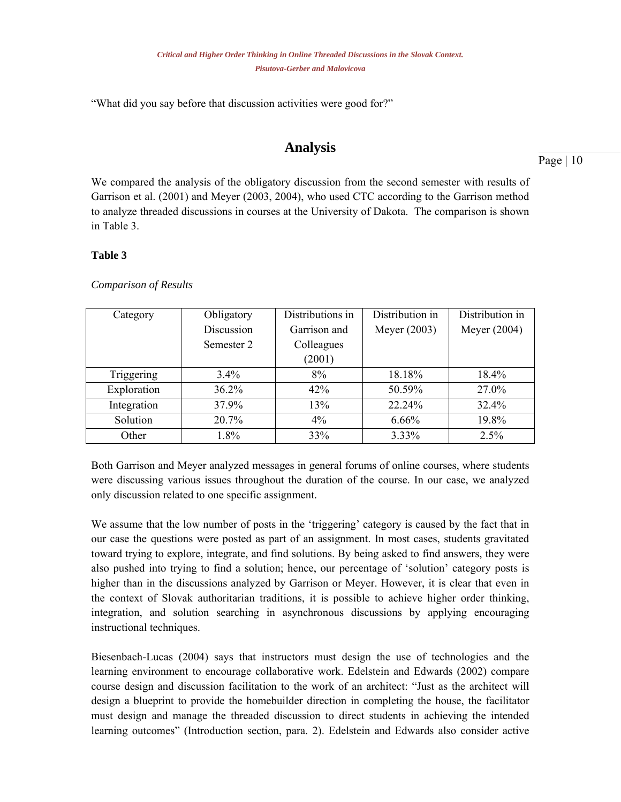"What did you say before that discussion activities were good for?"

### **Analysis**

Page | 10

We compared the analysis of the obligatory discussion from the second semester with results of Garrison et al. (2001) and Meyer (2003, 2004), who used CTC according to the Garrison method to analyze threaded discussions in courses at the University of Dakota. The comparison is shown in Table 3.

#### **Table 3**

| Category    | Obligatory | Distributions in | Distribution in | Distribution in |
|-------------|------------|------------------|-----------------|-----------------|
|             | Discussion | Garrison and     | Meyer (2003)    | Meyer (2004)    |
|             | Semester 2 | Colleagues       |                 |                 |
|             |            | (2001)           |                 |                 |
| Triggering  | $3.4\%$    | 8%               | 18.18%          | 18.4%           |
| Exploration | 36.2%      | 42%              | 50.59%          | 27.0%           |
| Integration | 37.9%      | 13%              | 22.24%          | 32.4%           |
| Solution    | 20.7%      | $4\%$            | $6.66\%$        | 19.8%           |
| Other       | 1.8%       | 33%              | 3.33%           | 2.5%            |

#### *Comparison of Results*

Both Garrison and Meyer analyzed messages in general forums of online courses, where students were discussing various issues throughout the duration of the course. In our case, we analyzed only discussion related to one specific assignment.

We assume that the low number of posts in the 'triggering' category is caused by the fact that in our case the questions were posted as part of an assignment. In most cases, students gravitated toward trying to explore, integrate, and find solutions. By being asked to find answers, they were also pushed into trying to find a solution; hence, our percentage of 'solution' category posts is higher than in the discussions analyzed by Garrison or Meyer. However, it is clear that even in the context of Slovak authoritarian traditions, it is possible to achieve higher order thinking, integration, and solution searching in asynchronous discussions by applying encouraging instructional techniques.

Biesenbach-Lucas (2004) says that instructors must design the use of technologies and the learning environment to encourage collaborative work. Edelstein and Edwards (2002) compare course design and discussion facilitation to the work of an architect: "Just as the architect will design a blueprint to provide the homebuilder direction in completing the house, the facilitator must design and manage the threaded discussion to direct students in achieving the intended learning outcomes" (Introduction section, para. 2). Edelstein and Edwards also consider active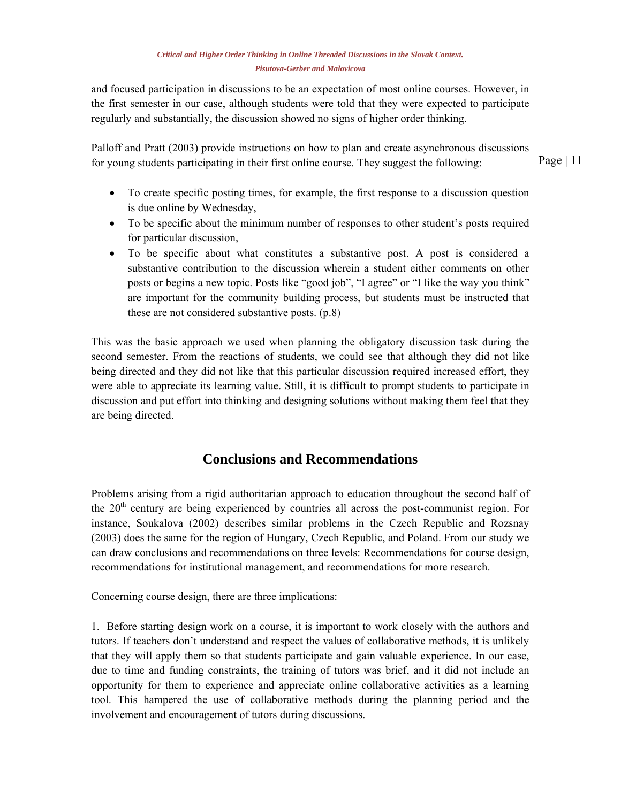and focused participation in discussions to be an expectation of most online courses. However, in the first semester in our case, although students were told that they were expected to participate regularly and substantially, the discussion showed no signs of higher order thinking.

Palloff and Pratt (2003) provide instructions on how to plan and create asynchronous discussions for young students participating in their first online course. They suggest the following:

- To create specific posting times, for example, the first response to a discussion question is due online by Wednesday,
- To be specific about the minimum number of responses to other student's posts required for particular discussion,
- To be specific about what constitutes a substantive post. A post is considered a substantive contribution to the discussion wherein a student either comments on other posts or begins a new topic. Posts like "good job", "I agree" or "I like the way you think" are important for the community building process, but students must be instructed that these are not considered substantive posts. (p.8)

This was the basic approach we used when planning the obligatory discussion task during the second semester. From the reactions of students, we could see that although they did not like being directed and they did not like that this particular discussion required increased effort, they were able to appreciate its learning value. Still, it is difficult to prompt students to participate in discussion and put effort into thinking and designing solutions without making them feel that they are being directed.

# **Conclusions and Recommendations**

Problems arising from a rigid authoritarian approach to education throughout the second half of the 20<sup>th</sup> century are being experienced by countries all across the post-communist region. For instance, Soukalova (2002) describes similar problems in the Czech Republic and Rozsnay (2003) does the same for the region of Hungary, Czech Republic, and Poland. From our study we can draw conclusions and recommendations on three levels: Recommendations for course design, recommendations for institutional management, and recommendations for more research.

Concerning course design, there are three implications:

1. Before starting design work on a course, it is important to work closely with the authors and tutors. If teachers don't understand and respect the values of collaborative methods, it is unlikely that they will apply them so that students participate and gain valuable experience. In our case, due to time and funding constraints, the training of tutors was brief, and it did not include an opportunity for them to experience and appreciate online collaborative activities as a learning tool. This hampered the use of collaborative methods during the planning period and the involvement and encouragement of tutors during discussions.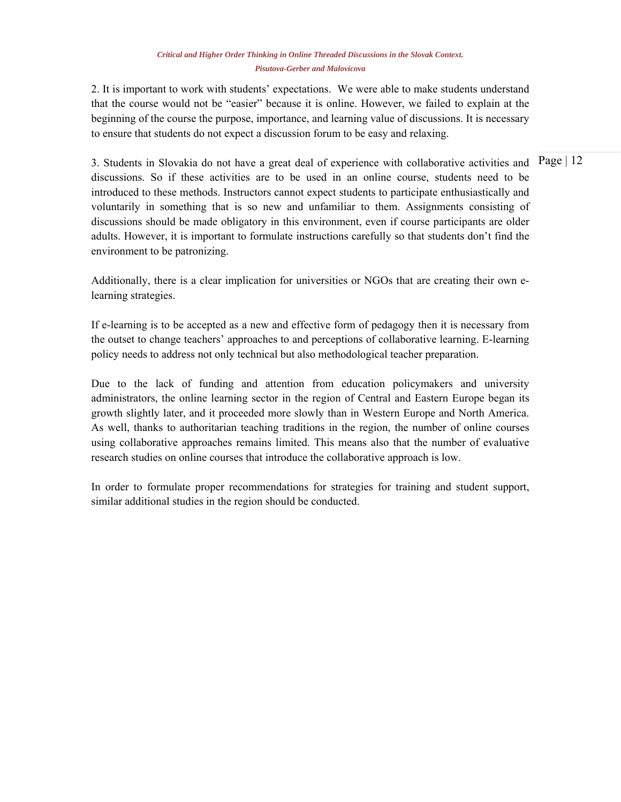2. It is important to work with students' expectations. We were able to make students understand that the course would not be "easier" because it is online. However, we failed to explain at the beginning of the course the purpose, importance, and learning value of discussions. It is necessary to ensure that students do not expect a discussion forum to be easy and relaxing.

3. Students in Slovakia do not have a great deal of experience with collaborative activities and Page  $\mid$  12 discussions. So if these activities are to be used in an online course, students need to be introduced to these methods. Instructors cannot expect students to participate enthusiastically and voluntarily in something that is so new and unfamiliar to them. Assignments consisting of discussions should be made obligatory in this environment, even if course participants are older adults. However, it is important to formulate instructions carefully so that students don't find the environment to be patronizing.

Additionally, there is a clear implication for universities or NGOs that are creating their own elearning strategies.

If e-learning is to be accepted as a new and effective form of pedagogy then it is necessary from the outset to change teachers' approaches to and perceptions of collaborative learning. E-learning policy needs to address not only technical but also methodological teacher preparation.

Due to the lack of funding and attention from education policymakers and university administrators, the online learning sector in the region of Central and Eastern Europe began its growth slightly later, and it proceeded more slowly than in Western Europe and North America. As well, thanks to authoritarian teaching traditions in the region, the number of online courses using collaborative approaches remains limited. This means also that the number of evaluative research studies on online courses that introduce the collaborative approach is low.

In order to formulate proper recommendations for strategies for training and student support, similar additional studies in the region should be conducted.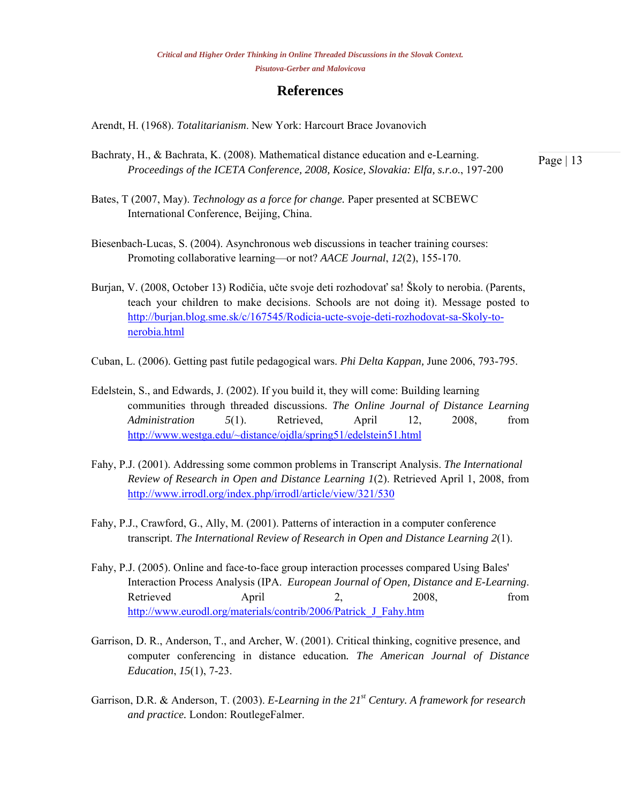### **References**

Arendt, H. (1968). *Totalitarianism*. New York: Harcourt Brace Jovanovich

- Page | 13 Bachraty, H., & Bachrata, K. (2008). Mathematical distance education and e-Learning. *Proceedings of the ICETA Conference, 2008, Kosice, Slovakia: Elfa, s.r.o.*, 197-200
- Bates, T (2007, May). *Technology as a force for change.* Paper presented at SCBEWC International Conference, Beijing, China.
- Biesenbach-Lucas, S. (2004). Asynchronous web discussions in teacher training courses: Promoting collaborative learning—or not? *AACE Journal*, *12*(2), 155-170.
- Burjan, V. (2008, October 13) Rodičia, učte svoje deti rozhodovať sa! Školy to nerobia. (Parents, teach your children to make decisions. Schools are not doing it). Message posted to [http://burjan.blog.sme.sk/c/167545/Rodicia-ucte-svoje-deti-rozhodovat-sa-Skoly-to](http://burjan.blog.sme.sk/c/167545/Rodicia-ucte-svoje-deti-rozhodovat-sa-Skoly-to-nerobia.html)[nerobia.html](http://burjan.blog.sme.sk/c/167545/Rodicia-ucte-svoje-deti-rozhodovat-sa-Skoly-to-nerobia.html)
- Cuban, L. (2006). Getting past futile pedagogical wars. *Phi Delta Kappan,* June 2006, 793-795.
- Edelstein, S., and Edwards, J. (2002). If you build it, they will come: Building learning communities through threaded discussions. *The Online Journal of Distance Learning Administration 5*(1). Retrieved, April 12, 2008, from [http://www.westga.edu/~distance/ojdla/spring51/edelstein51.html](http://www.westga.edu/%7Edistance/ojdla/spring51/edelstein51.html)
- Fahy, P.J. (2001). Addressing some common problems in Transcript Analysis. *The International Review of Research in Open and Distance Learning 1*(2). Retrieved April 1, 2008, from <http://www.irrodl.org/index.php/irrodl/article/view/321/530>
- Fahy, P.J., Crawford, G., Ally, M. (2001). Patterns of interaction in a computer conference transcript. *The International Review of Research in Open and Distance Learning 2*(1).
- Fahy, P.J. (2005). Online and face-to-face group interaction processes compared Using Bales' Interaction Process Analysis (IPA. *European Journal of Open, Distance and E-Learning*. Retrieved April 2, 2008, from [http://www.eurodl.org/materials/contrib/2006/Patrick\\_J\\_Fahy.htm](http://www.eurodl.org/materials/contrib/2006/Patrick_J_Fahy.htm)
- Garrison, D. R., Anderson, T., and Archer, W. (2001). Critical thinking, cognitive presence, and computer conferencing in distance education*. The American Journal of Distance Education*, *15*(1), 7-23.
- Garrison, D.R. & Anderson, T. (2003). *E-Learning in the 21st Century. A framework for research and practice.* London: RoutlegeFalmer.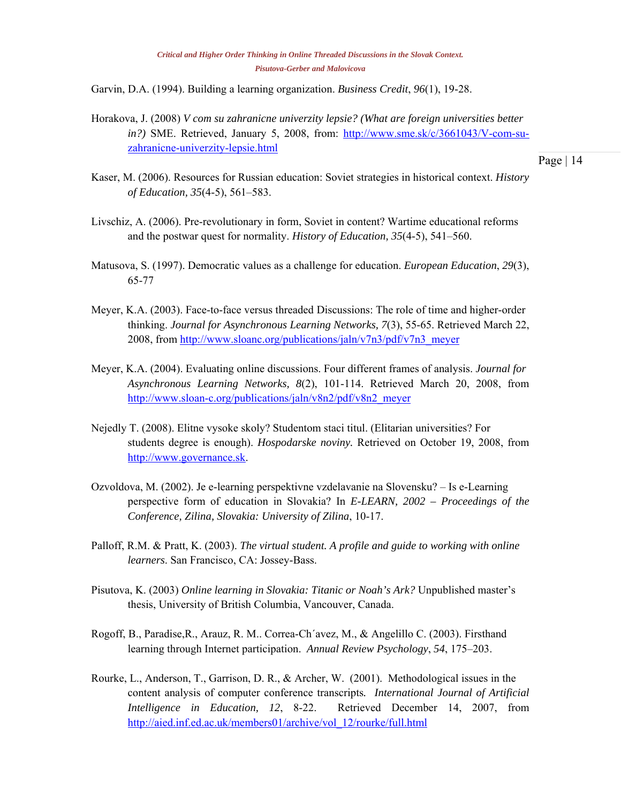Garvin, D.A. (1994). Building a learning organization. *Business Credit*, *96*(1), 19-28.

Horakova, J. (2008) *V com su zahranicne univerzity lepsie? (What are foreign universities better in?)* SME. Retrieved, January 5, 2008, from: [http://www.sme.sk/c/3661043/V-com-su](http://www.sme.sk/c/3661043/V-com-su-zahranicne-univerzity-lepsie.html)[zahranicne-univerzity-lepsie.html](http://www.sme.sk/c/3661043/V-com-su-zahranicne-univerzity-lepsie.html)

- Kaser, M. (2006). Resources for Russian education: Soviet strategies in historical context. *History of Education, 35*(4-5), 561–583.
- Livschiz, A. (2006). Pre-revolutionary in form, Soviet in content? Wartime educational reforms and the postwar quest for normality. *History of Education, 35*(4-5), 541–560.
- Matusova, S. (1997). Democratic values as a challenge for education. *European Education*, *29*(3), 65-77
- Meyer, K.A. (2003). Face-to-face versus threaded Discussions: The role of time and higher-order thinking. *Journal for Asynchronous Learning Networks, 7*(3), 55-65. Retrieved March 22, 2008, from [http://www.sloanc.org/publications/jaln/v7n3/pdf/v7n3\\_meyer](http://www.sloanc.org/publications/jaln/v7n3/pdf/v7n3_meyer)
- Meyer, K.A. (2004). Evaluating online discussions. Four different frames of analysis. *Journal for Asynchronous Learning Networks, 8*(2), 101-114. Retrieved March 20, 2008, from [http://www.sloan-c.org/publications/jaln/v8n2/pdf/v8n2\\_meyer](http://www.sloan-c.org/publications/jaln/v8n2/pdf/v8n2_meyer)
- Nejedly T. (2008). Elitne vysoke skoly? Studentom staci titul. (Elitarian universities? For students degree is enough). *Hospodarske noviny.* Retrieved on October 19, 2008, from [http://www.governance.sk](http://www.governance.sk/).
- Ozvoldova, M. (2002). Je e-learning perspektivne vzdelavanie na Slovensku? Is e-Learning perspective form of education in Slovakia? In *E-LEARN, 2002 – Proceedings of the Conference, Zilina, Slovakia: University of Zilina*, 10-17.
- Palloff, R.M. & Pratt, K. (2003). *The virtual student. A profile and guide to working with online learners*. San Francisco, CA: Jossey-Bass.
- Pisutova, K. (2003) *Online learning in Slovakia: Titanic or Noah's Ark?* Unpublished master's thesis, University of British Columbia, Vancouver, Canada.
- Rogoff, B., Paradise,R., Arauz, R. M.. Correa-Ch´avez, M., & Angelillo C. (2003). Firsthand learning through Internet participation. *Annual Review Psychology*, *54*, 175–203.
- Rourke, L., Anderson, T., Garrison, D. R., & Archer, W. (2001). Methodological issues in the content analysis of computer conference transcripts*. International Journal of Artificial Intelligence in Education, 12*, 8-22. Retrieved December 14, 2007, from [http://aied.inf.ed.ac.uk/members01/archive/vol\\_12/rourke/full.html](http://aied.inf.ed.ac.uk/members01/archive/vol_12/rourke/full.html)